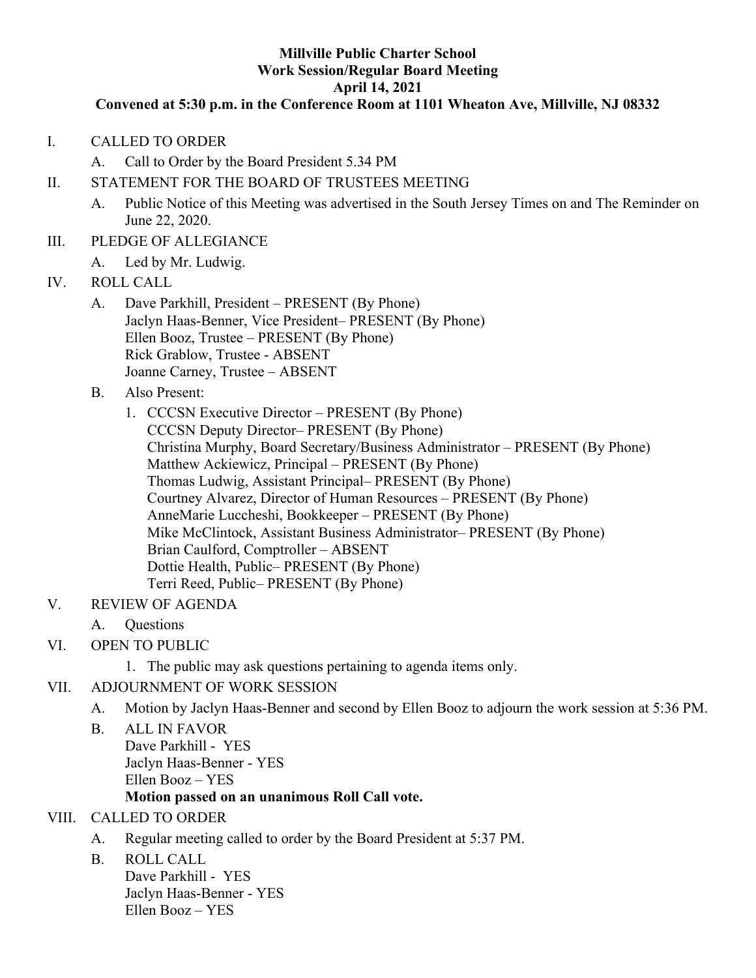#### **Millville Public Charter School Work Session/Regular Board Meeting April 14, 2021**

#### **Convened at 5:30 p.m. in the Conference Room at 1101 Wheaton Ave, Millville, NJ 08332**

- I. CALLED TO ORDER
	- A. Call to Order by the Board President 5.34 PM
- II. STATEMENT FOR THE BOARD OF TRUSTEES MEETING
	- A. Public Notice of this Meeting was advertised in the South Jersey Times on and The Reminder on June 22, 2020.
- III. PLEDGE OF ALLEGIANCE
	- A. Led by Mr. Ludwig.
- IV. ROLL CALL
	- A. Dave Parkhill, President PRESENT (By Phone) Jaclyn Haas-Benner, Vice President– PRESENT (By Phone) Ellen Booz, Trustee – PRESENT (By Phone) Rick Grablow, Trustee - ABSENT Joanne Carney, Trustee – ABSENT
	- B. Also Present:
		- 1. CCCSN Executive Director PRESENT (By Phone) CCCSN Deputy Director– PRESENT (By Phone) Christina Murphy, Board Secretary/Business Administrator – PRESENT (By Phone) Matthew Ackiewicz, Principal – PRESENT (By Phone) Thomas Ludwig, Assistant Principal– PRESENT (By Phone) Courtney Alvarez, Director of Human Resources – PRESENT (By Phone) AnneMarie Luccheshi, Bookkeeper – PRESENT (By Phone) Mike McClintock, Assistant Business Administrator– PRESENT (By Phone) Brian Caulford, Comptroller – ABSENT Dottie Health, Public– PRESENT (By Phone) Terri Reed, Public– PRESENT (By Phone)
- V. REVIEW OF AGENDA
	- A. Questions
- VI. OPEN TO PUBLIC
	- 1. The public may ask questions pertaining to agenda items only.
- VII. ADJOURNMENT OF WORK SESSION
	- A. Motion by Jaclyn Haas-Benner and second by Ellen Booz to adjourn the work session at 5:36 PM.
	- B. ALL IN FAVOR Dave Parkhill - YES Jaclyn Haas-Benner - YES Ellen Booz – YES

## **Motion passed on an unanimous Roll Call vote.**

#### VIII. CALLED TO ORDER

- A. Regular meeting called to order by the Board President at 5:37 PM.
- B. ROLL CALL

Dave Parkhill - YES Jaclyn Haas-Benner - YES Ellen Booz – YES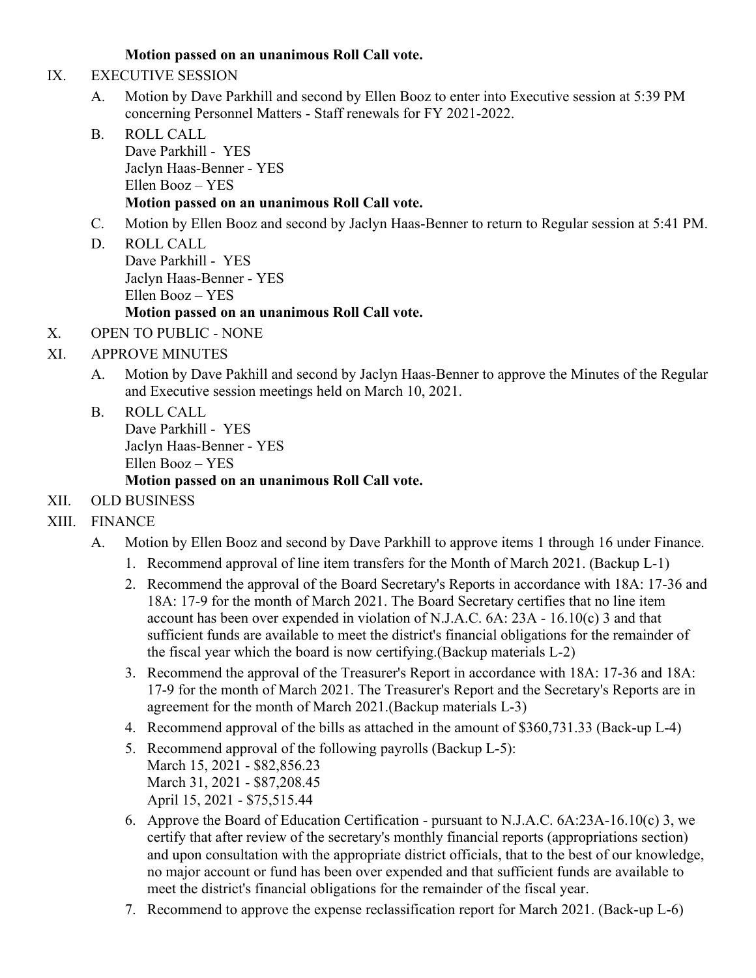## **Motion passed on an unanimous Roll Call vote.**

- IX. EXECUTIVE SESSION
	- A. Motion by Dave Parkhill and second by Ellen Booz to enter into Executive session at 5:39 PM concerning Personnel Matters - Staff renewals for FY 2021-2022.
	- B. ROLL CALL Dave Parkhill - YES Jaclyn Haas-Benner - YES Ellen Booz – YES **Motion passed on an unanimous Roll Call vote.**
	- C. Motion by Ellen Booz and second by Jaclyn Haas-Benner to return to Regular session at 5:41 PM.
	- D. ROLL CALL Dave Parkhill - YES Jaclyn Haas-Benner - YES Ellen Booz – YES **Motion passed on an unanimous Roll Call vote.**
- X. OPEN TO PUBLIC NONE
- XI. APPROVE MINUTES
	- A. Motion by Dave Pakhill and second by Jaclyn Haas-Benner to approve the Minutes of the Regular and Executive session meetings held on March 10, 2021.
	- B. ROLL CALL Dave Parkhill - YES Jaclyn Haas-Benner - YES Ellen Booz – YES **Motion passed on an unanimous Roll Call vote.**
- XII. OLD BUSINESS
- XIII. FINANCE
	- A. Motion by Ellen Booz and second by Dave Parkhill to approve items 1 through 16 under Finance.
		- 1. Recommend approval of line item transfers for the Month of March 2021. (Backup L-1)
		- 2. Recommend the approval of the Board Secretary's Reports in accordance with 18A: 17-36 and 18A: 17-9 for the month of March 2021. The Board Secretary certifies that no line item account has been over expended in violation of N.J.A.C. 6A: 23A - 16.10(c) 3 and that sufficient funds are available to meet the district's financial obligations for the remainder of the fiscal year which the board is now certifying.(Backup materials L-2)
		- 3. Recommend the approval of the Treasurer's Report in accordance with 18A: 17-36 and 18A: 17-9 for the month of March 2021. The Treasurer's Report and the Secretary's Reports are in agreement for the month of March 2021.(Backup materials L-3)
		- 4. Recommend approval of the bills as attached in the amount of \$360,731.33 (Back-up L-4)
		- 5. Recommend approval of the following payrolls (Backup L-5): March 15, 2021 - \$82,856.23 March 31, 2021 - \$87,208.45 April 15, 2021 - \$75,515.44
		- 6. Approve the Board of Education Certification pursuant to N.J.A.C. 6A:23A-16.10(c) 3, we certify that after review of the secretary's monthly financial reports (appropriations section) and upon consultation with the appropriate district officials, that to the best of our knowledge, no major account or fund has been over expended and that sufficient funds are available to meet the district's financial obligations for the remainder of the fiscal year.
		- 7. Recommend to approve the expense reclassification report for March 2021. (Back-up L-6)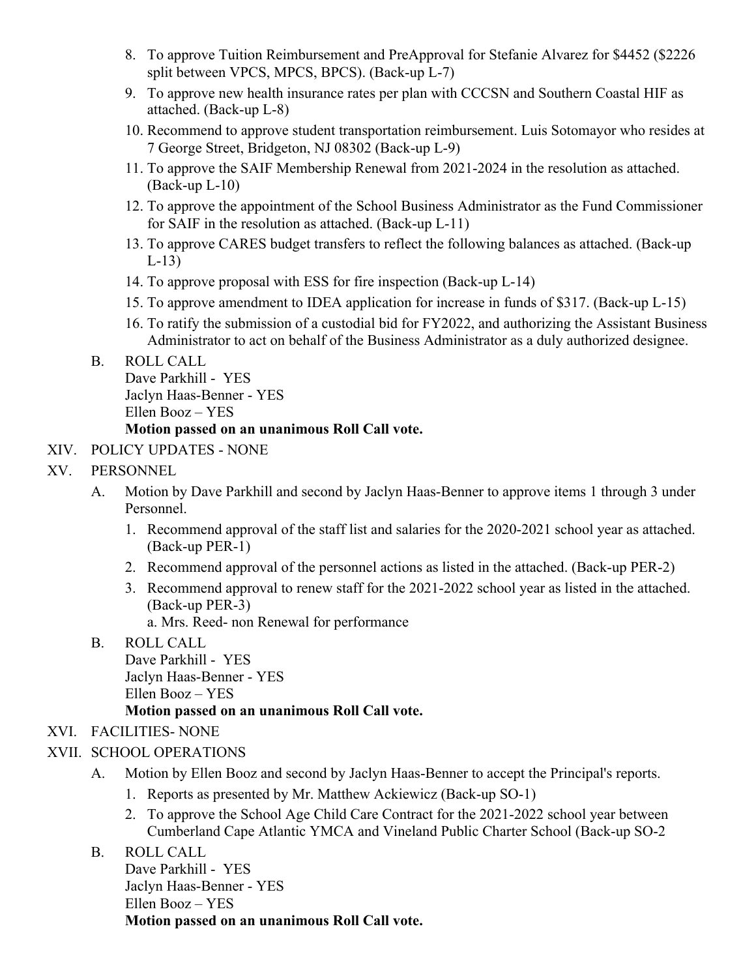- 8. To approve Tuition Reimbursement and PreApproval for Stefanie Alvarez for \$4452 (\$2226 split between VPCS, MPCS, BPCS). (Back-up L-7)
- 9. To approve new health insurance rates per plan with CCCSN and Southern Coastal HIF as attached. (Back-up L-8)
- 10. Recommend to approve student transportation reimbursement. Luis Sotomayor who resides at 7 George Street, Bridgeton, NJ 08302 (Back-up L-9)
- 11. To approve the SAIF Membership Renewal from 2021-2024 in the resolution as attached. (Back-up L-10)
- 12. To approve the appointment of the School Business Administrator as the Fund Commissioner for SAIF in the resolution as attached. (Back-up L-11)
- 13. To approve CARES budget transfers to reflect the following balances as attached. (Back-up L-13)
- 14. To approve proposal with ESS for fire inspection (Back-up L-14)
- 15. To approve amendment to IDEA application for increase in funds of \$317. (Back-up L-15)
- 16. To ratify the submission of a custodial bid for FY2022, and authorizing the Assistant Business Administrator to act on behalf of the Business Administrator as a duly authorized designee.
- B. ROLL CALL

Dave Parkhill - YES Jaclyn Haas-Benner - YES Ellen Booz – YES

#### **Motion passed on an unanimous Roll Call vote.**

- XIV. POLICY UPDATES NONE
- XV. PERSONNEL
	- A. Motion by Dave Parkhill and second by Jaclyn Haas-Benner to approve items 1 through 3 under Personnel.
		- 1. Recommend approval of the staff list and salaries for the 2020-2021 school year as attached. (Back-up PER-1)
		- 2. Recommend approval of the personnel actions as listed in the attached. (Back-up PER-2)
		- 3. Recommend approval to renew staff for the 2021-2022 school year as listed in the attached. (Back-up PER-3)
			- a. Mrs. Reed- non Renewal for performance
	- B. ROLL CALL

Dave Parkhill - YES Jaclyn Haas-Benner - YES

Ellen Booz – YES

#### **Motion passed on an unanimous Roll Call vote.**

# XVI. FACILITIES- NONE

- XVII. SCHOOL OPERATIONS
	- A. Motion by Ellen Booz and second by Jaclyn Haas-Benner to accept the Principal's reports.
		- 1. Reports as presented by Mr. Matthew Ackiewicz (Back-up SO-1)
		- 2. To approve the School Age Child Care Contract for the 2021-2022 school year between Cumberland Cape Atlantic YMCA and Vineland Public Charter School (Back-up SO-2
	- B. ROLL CALL

Dave Parkhill - YES Jaclyn Haas-Benner - YES Ellen Booz – YES **Motion passed on an unanimous Roll Call vote.**